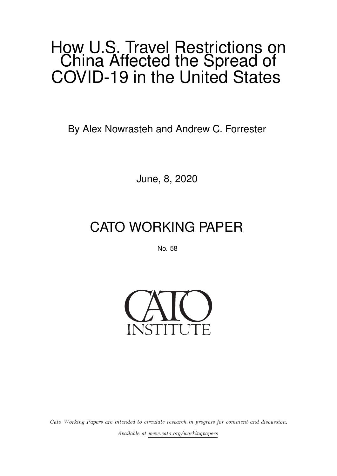## How U.S. Travel Restrictions on China Affected the Spread of COVID-19 in the United States

By Alex Nowrasteh and Andrew C. Forrester

June, 8, 2020

# CATO WORKING PAPER

No. 58



Cato Working Papers are intended to circulate research in progress for comment and discussion. Available at [www.cato.org/workingpapers](https://www.cato.org/workingpapers)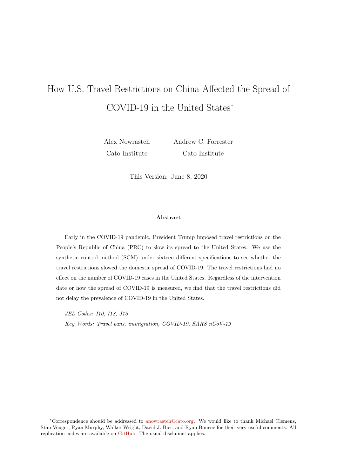## How U.S. Travel Restrictions on China Affected the Spread of COVID-19 in the United States<sup>∗</sup>

Alex Nowrasteh Cato Institute

Andrew C. Forrester Cato Institute

This Version: June 8, 2020

#### Abstract

Early in the COVID-19 pandemic, President Trump imposed travel restrictions on the People's Republic of China (PRC) to slow its spread to the United States. We use the synthetic control method (SCM) under sixteen different specifications to see whether the travel restrictions slowed the domestic spread of COVID-19. The travel restrictions had no effect on the number of COVID-19 cases in the United States. Regardless of the intervention date or how the spread of COVID-19 is measured, we find that the travel restrictions did not delay the prevalence of COVID-19 in the United States.

JEL Codes: I10, I18, J15 Key Words: Travel bans, immigration, COVID-19, SARS nCoV-19

<sup>∗</sup>Correspondence should be addressed to [anowrasteh@cato.org.](mailto:anowrasteh@cato.org) We would like to thank Michael Clemens, Stan Veuger, Ryan Murphy, Walker Wright, David J. Bier, and Ryan Bourne for their very useful comments. All replication codes are available on [GitHub.](https://github.com/acforrester/travel-ban-covid) The usual disclaimer applies.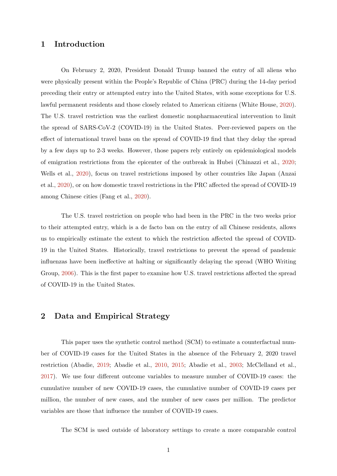#### 1 Introduction

On February 2, 2020, President Donald Trump banned the entry of all aliens who were physically present within the People's Republic of China (PRC) during the 14-day period preceding their entry or attempted entry into the United States, with some exceptions for U.S. lawful permanent residents and those closely related to American citizens (White House, [2020\)](#page-10-0). The U.S. travel restriction was the earliest domestic nonpharmaceutical intervention to limit the spread of SARS-CoV-2 (COVID-19) in the United States. Peer-reviewed papers on the effect of international travel bans on the spread of COVID-19 find that they delay the spread by a few days up to 2-3 weeks. However, those papers rely entirely on epidemiological models of emigration restrictions from the epicenter of the outbreak in Hubei (Chinazzi et al., [2020;](#page-9-0) Wells et al., [2020\)](#page-10-1), focus on travel restrictions imposed by other countries like Japan (Anzai et al., [2020\)](#page-9-1), or on how domestic travel restrictions in the PRC affected the spread of COVID-19 among Chinese cities (Fang et al., [2020\)](#page-9-2).

The U.S. travel restriction on people who had been in the PRC in the two weeks prior to their attempted entry, which is a de facto ban on the entry of all Chinese residents, allows us to empirically estimate the extent to which the restriction affected the spread of COVID-19 in the United States. Historically, travel restrictions to prevent the spread of pandemic influenzas have been ineffective at halting or significantly delaying the spread (WHO Writing Group, [2006\)](#page-10-2). This is the first paper to examine how U.S. travel restrictions affected the spread of COVID-19 in the United States.

#### 2 Data and Empirical Strategy

This paper uses the synthetic control method (SCM) to estimate a counterfactual number of COVID-19 cases for the United States in the absence of the February 2, 2020 travel restriction (Abadie, [2019;](#page-9-3) Abadie et al., [2010,](#page-9-4) [2015;](#page-9-5) Abadie et al., [2003;](#page-9-6) McClelland et al., [2017\)](#page-10-3). We use four different outcome variables to measure number of COVID-19 cases: the cumulative number of new COVID-19 cases, the cumulative number of COVID-19 cases per million, the number of new cases, and the number of new cases per million. The predictor variables are those that influence the number of COVID-19 cases.

The SCM is used outside of laboratory settings to create a more comparable control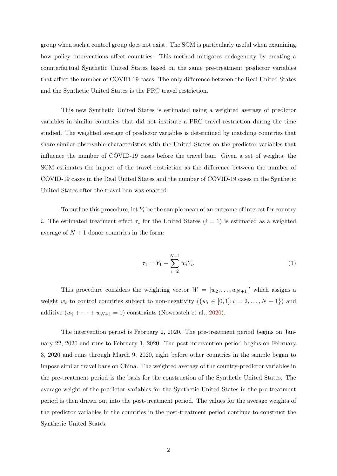group when such a control group does not exist. The SCM is particularly useful when examining how policy interventions affect countries. This method mitigates endogeneity by creating a counterfactual Synthetic United States based on the same pre-treatment predictor variables that affect the number of COVID-19 cases. The only difference between the Real United States and the Synthetic United States is the PRC travel restriction.

This new Synthetic United States is estimated using a weighted average of predictor variables in similar countries that did not institute a PRC travel restriction during the time studied. The weighted average of predictor variables is determined by matching countries that share similar observable characteristics with the United States on the predictor variables that influence the number of COVID-19 cases before the travel ban. Given a set of weights, the SCM estimates the impact of the travel restriction as the difference between the number of COVID-19 cases in the Real United States and the number of COVID-19 cases in the Synthetic United States after the travel ban was enacted.

To outline this procedure, let  $Y_i$  be the sample mean of an outcome of interest for country i. The estimated treatment effect  $\tau_1$  for the United States  $(i = 1)$  is estimated as a weighted average of  $N + 1$  donor countries in the form:

$$
\tau_1 = Y_1 - \sum_{i=2}^{N+1} w_i Y_i.
$$
\n(1)

This procedure considers the weighting vector  $W = [w_2, \ldots, w_{N+1}]'$  which assigns a weight  $w_i$  to control countries subject to non-negativity  $(\{w_i \in [0,1]; i = 2, \ldots, N+1\})$  and additive  $(w_2 + \cdots + w_{N+1} = 1)$  constraints (Nowrasteh et al., [2020\)](#page-10-4).

The intervention period is February 2, 2020. The pre-treatment period begins on January 22, 2020 and runs to February 1, 2020. The post-intervention period begins on February 3, 2020 and runs through March 9, 2020, right before other countries in the sample began to impose similar travel bans on China. The weighted average of the country-predictor variables in the pre-treatment period is the basis for the construction of the Synthetic United States. The average weight of the predictor variables for the Synthetic United States in the pre-treatment period is then drawn out into the post-treatment period. The values for the average weights of the predictor variables in the countries in the post-treatment period continue to construct the Synthetic United States.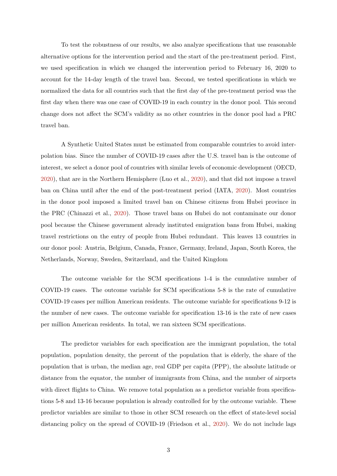To test the robustness of our results, we also analyze specifications that use reasonable alternative options for the intervention period and the start of the pre-treatment period. First, we used specification in which we changed the intervention period to February 16, 2020 to account for the 14-day length of the travel ban. Second, we tested specifications in which we normalized the data for all countries such that the first day of the pre-treatment period was the first day when there was one case of COVID-19 in each country in the donor pool. This second change does not affect the SCM's validity as no other countries in the donor pool had a PRC travel ban.

A Synthetic United States must be estimated from comparable countries to avoid interpolation bias. Since the number of COVID-19 cases after the U.S. travel ban is the outcome of interest, we select a donor pool of countries with similar levels of economic development (OECD, [2020\)](#page-10-5), that are in the Northern Hemisphere (Luo et al., [2020\)](#page-10-6), and that did not impose a travel ban on China until after the end of the post-treatment period (IATA, [2020\)](#page-10-7). Most countries in the donor pool imposed a limited travel ban on Chinese citizens from Hubei province in the PRC (Chinazzi et al., [2020\)](#page-9-0). Those travel bans on Hubei do not contaminate our donor pool because the Chinese government already instituted emigration bans from Hubei, making travel restrictions on the entry of people from Hubei redundant. This leaves 13 countries in our donor pool: Austria, Belgium, Canada, France, Germany, Ireland, Japan, South Korea, the Netherlands, Norway, Sweden, Switzerland, and the United Kingdom

The outcome variable for the SCM specifications 1-4 is the cumulative number of COVID-19 cases. The outcome variable for SCM specifications 5-8 is the rate of cumulative COVID-19 cases per million American residents. The outcome variable for specifications 9-12 is the number of new cases. The outcome variable for specification 13-16 is the rate of new cases per million American residents. In total, we ran sixteen SCM specifications.

The predictor variables for each specification are the immigrant population, the total population, population density, the percent of the population that is elderly, the share of the population that is urban, the median age, real GDP per capita (PPP), the absolute latitude or distance from the equator, the number of immigrants from China, and the number of airports with direct flights to China. We remove total population as a predictor variable from specifications 5-8 and 13-16 because population is already controlled for by the outcome variable. These predictor variables are similar to those in other SCM research on the effect of state-level social distancing policy on the spread of COVID-19 (Friedson et al., [2020\)](#page-9-7). We do not include lags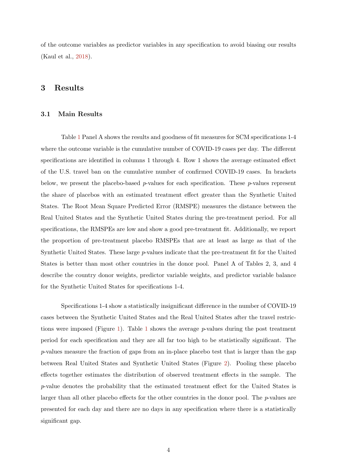of the outcome variables as predictor variables in any specification to avoid biasing our results (Kaul et al., [2018\)](#page-10-8).

#### 3 Results

#### 3.1 Main Results

Table [1](#page-19-0) Panel A shows the results and goodness of fit measures for SCM specifications 1-4 where the outcome variable is the cumulative number of COVID-19 cases per day. The different specifications are identified in columns 1 through 4. Row 1 shows the average estimated effect of the U.S. travel ban on the cumulative number of confirmed COVID-19 cases. In brackets below, we present the placebo-based  $p$ -values for each specification. These  $p$ -values represent the share of placebos with an estimated treatment effect greater than the Synthetic United States. The Root Mean Square Predicted Error (RMSPE) measures the distance between the Real United States and the Synthetic United States during the pre-treatment period. For all specifications, the RMSPEs are low and show a good pre-treatment fit. Additionally, we report the proportion of pre-treatment placebo RMSPEs that are at least as large as that of the Synthetic United States. These large p-values indicate that the pre-treatment fit for the United States is better than most other countries in the donor pool. Panel A of Tables 2, 3, and 4 describe the country donor weights, predictor variable weights, and predictor variable balance for the Synthetic United States for specifications 1-4.

Specifications 1-4 show a statistically insignificant difference in the number of COVID-19 cases between the Synthetic United States and the Real United States after the travel restric-tions were imposed (Figure [1\)](#page-11-0). Table [1](#page-19-0) shows the average  $p$ -values during the post treatment period for each specification and they are all far too high to be statistically significant. The p-values measure the fraction of gaps from an in-place placebo test that is larger than the gap between Real United States and Synthetic United States (Figure [2\)](#page-12-0). Pooling these placebo effects together estimates the distribution of observed treatment effects in the sample. The p-value denotes the probability that the estimated treatment effect for the United States is larger than all other placebo effects for the other countries in the donor pool. The  $p$ -values are presented for each day and there are no days in any specification where there is a statistically significant gap.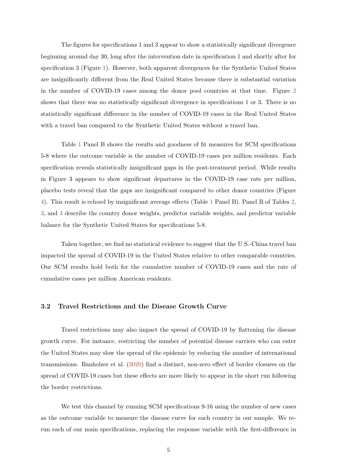The figures for specifications 1 and 3 appear to show a statistically significant divergence beginning around day 30, long after the intervention date in specification 1 and shortly after for specification 3 (Figure [1\)](#page-11-0). However, both apparent divergences for the Synthetic United States are insignificantly different from the Real United States because there is substantial variation in the number of COVID-19 cases among the donor pool countries at that time. Figure [2](#page-12-0) shows that there was no statistically significant divergence in specifications 1 or 3. There is no statistically significant difference in the number of COVID-19 cases in the Real United States with a travel ban compared to the Synthetic United States without a travel ban.

Table [1](#page-19-0) Panel B shows the results and goodness of fit measures for SCM specifications 5-8 where the outcome variable is the number of COVID-19 cases per million residents. Each specification reveals statistically insignificant gaps in the post-treatment period. While results in Figure 3 appears to show significant departures in the COVID-19 case rate per million, placebo tests reveal that the gaps are insignificant compared to other donor countries (Figure [4\)](#page-14-0). This result is echoed by insignificant average effects (Table [1](#page-19-0) Panel B). Panel B of Tables [2,](#page-20-0) [3,](#page-21-0) and [4](#page-22-0) describe the country donor weights, predictor variable weights, and predictor variable balance for the Synthetic United States for specifications 5-8.

Taken together, we find no statistical evidence to suggest that the U.S.-China travel ban impacted the spread of COVID-19 in the United States relative to other comparable countries. Our SCM results hold both for the cumulative number of COVID-19 cases and the rate of cumulative cases per million American residents.

#### 3.2 Travel Restrictions and the Disease Growth Curve

Travel restrictions may also impact the spread of COVID-19 by flattening the disease growth curve. For instance, restricting the number of potential disease carriers who can enter the United States may slow the spread of the epidemic by reducing the number of international transmissions. Banholzer et al. [\(2020\)](#page-9-8) find a distinct, non-zero effect of border closures on the spread of COVID-19 cases but these effects are more likely to appear in the short run following the border restrictions.

We test this channel by running SCM specifications 9-16 using the number of new cases as the outcome variable to measure the disease curve for each country in our sample. We rerun each of our main specifications, replacing the response variable with the first-difference in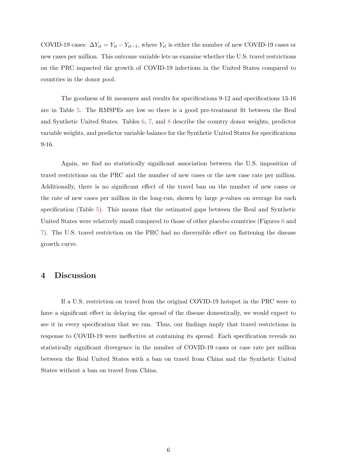COVID-19 cases:  $\Delta Y_{it} = Y_{it} - Y_{it-1}$ , where  $Y_{it}$  is either the number of new COVID-19 cases or new cases per million. This outcome variable lets us examine whether the U.S. travel restrictions on the PRC impacted the growth of COVID-19 infections in the United States compared to countries in the donor pool.

The goodness of fit measures and results for specifications 9-12 and specifications 13-16 are in Table [5.](#page-23-0) The RMSPEs are low so there is a good pre-treatment fit between the Real and Synthetic United States. Tables [6,](#page-24-0) [7,](#page-25-0) and [8](#page-26-0) describe the country donor weights, predictor variable weights, and predictor variable balance for the Synthetic United States for specifications 9-16.

Again, we find no statistically significant association between the U.S. imposition of travel restrictions on the PRC and the number of new cases or the new case rate per million. Additionally, there is no significant effect of the travel ban on the number of new cases or the rate of new cases per million in the long-run, shown by large  $p$ -values on average for each specification (Table [5\)](#page-23-0). This means that the estimated gaps between the Real and Synthetic United States were relatively small compared to those of other placebo countries (Figures [6](#page-16-0) and [7\)](#page-17-0). The U.S. travel restriction on the PRC had no discernible effect on flattening the disease growth curve.

## 4 Discussion

If a U.S. restriction on travel from the original COVID-19 hotspot in the PRC were to have a significant effect in delaying the spread of the disease domestically, we would expect to see it in every specification that we ran. Thus, our findings imply that travel restrictions in response to COVID-19 were ineffective at containing its spread. Each specification reveals no statistically significant divergence in the number of COVID-19 cases or case rate per million between the Real United States with a ban on travel from China and the Synthetic United States without a ban on travel from China.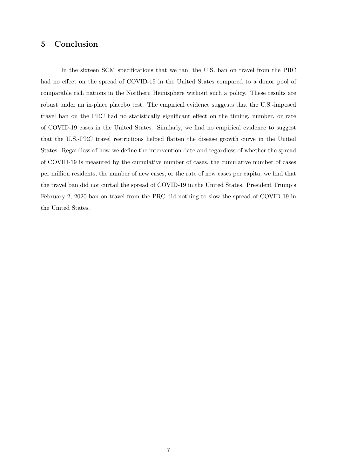### 5 Conclusion

In the sixteen SCM specifications that we ran, the U.S. ban on travel from the PRC had no effect on the spread of COVID-19 in the United States compared to a donor pool of comparable rich nations in the Northern Hemisphere without such a policy. These results are robust under an in-place placebo test. The empirical evidence suggests that the U.S.-imposed travel ban on the PRC had no statistically significant effect on the timing, number, or rate of COVID-19 cases in the United States. Similarly, we find no empirical evidence to suggest that the U.S.-PRC travel restrictions helped flatten the disease growth curve in the United States. Regardless of how we define the intervention date and regardless of whether the spread of COVID-19 is measured by the cumulative number of cases, the cumulative number of cases per million residents, the number of new cases, or the rate of new cases per capita, we find that the travel ban did not curtail the spread of COVID-19 in the United States. President Trump's February 2, 2020 ban on travel from the PRC did nothing to slow the spread of COVID-19 in the United States.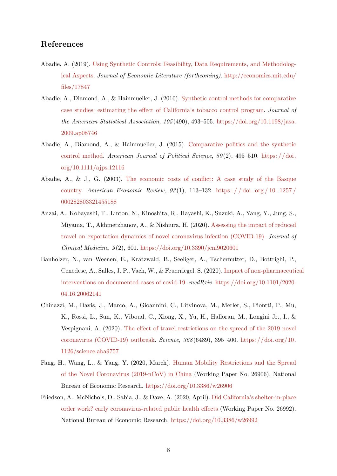### References

- <span id="page-9-3"></span>Abadie, A. (2019). [Using Synthetic Controls: Feasibility, Data Requirements, and Methodolog](http://economics.mit.edu/files/17847)[ical Aspects.](http://economics.mit.edu/files/17847) Journal of Economic Literature (forthcoming). [http://economics.mit.edu/](http://economics.mit.edu/files/17847) [files/17847](http://economics.mit.edu/files/17847)
- <span id="page-9-4"></span>Abadie, A., Diamond, A., & Hainmueller, J. (2010). [Synthetic control methods for comparative](http://dx.doi.org/10.1198/jasa.2009.ap08746) [case studies: estimating the effect of California's tobacco control program.](http://dx.doi.org/10.1198/jasa.2009.ap08746) Journal of the American Statistical Association,  $105(490)$ ,  $493-505$ . [https://doi.org/10.1198/jasa.](https://doi.org/10.1198/jasa.2009.ap08746) [2009.ap08746](https://doi.org/10.1198/jasa.2009.ap08746)
- <span id="page-9-5"></span>Abadie, A., Diamond, A., & Hainmueller, J. (2015). [Comparative politics and the synthetic](http://dx.doi.org/10.1111/ajps.12116) [control method.](http://dx.doi.org/10.1111/ajps.12116) American Journal of Political Science,  $59(2)$ ,  $495-510$ . [https://doi.](https://doi.org/10.1111/ajps.12116) [org/10.1111/ajps.12116](https://doi.org/10.1111/ajps.12116)
- <span id="page-9-6"></span>Abadie, A., & J., G. (2003). [The economic costs of conflict: A case study of the Basque](http://dx.doi.org/10.1257/000282803321455188) [country.](http://dx.doi.org/10.1257/000282803321455188) American Economic Review,  $93(1)$ , 113–132. https://doi.org/10.1257/ [000282803321455188](https://doi.org/10.1257/000282803321455188)
- <span id="page-9-1"></span>Anzai, A., Kobayashi, T., Linton, N., Kinoshita, R., Hayashi, K., Suzuki, A., Yang, Y., Jung, S., Miyama, T., Akhmetzhanov, A., & Nishiura, H. (2020). [Assessing the impact of reduced](http://dx.doi.org/10.3390/jcm9020601) [travel on exportation dynamics of novel coronavirus infection \(COVID-19\).](http://dx.doi.org/10.3390/jcm9020601) Journal of  $Clinical Medicine, 9(2), 601. <https://doi.org/10.3390/jcm9020601>$  $Clinical Medicine, 9(2), 601. <https://doi.org/10.3390/jcm9020601>$  $Clinical Medicine, 9(2), 601. <https://doi.org/10.3390/jcm9020601>$
- <span id="page-9-8"></span>Banholzer, N., van Weenen, E., Kratzwald, B., Seeliger, A., Tschernutter, D., Bottrighi, P., Cenedese, A., Salles, J. P., Vach, W., & Feuerriegel, S. (2020). [Impact of non-pharmaceutic](http://dx.doi.org/10.1101/2020.04.16.20062141)al [interventions on documented cases of covid-19.](http://dx.doi.org/10.1101/2020.04.16.20062141) medRxiv. [https://doi.org/10.1101/2020.](https://doi.org/10.1101/2020.04.16.20062141) [04.16.20062141](https://doi.org/10.1101/2020.04.16.20062141)
- <span id="page-9-0"></span>Chinazzi, M., Davis, J., Marco, A., Gioannini, C., Litvinova, M., Merler, S., Piontti, P., Mu, K., Rossi, L., Sun, K., Viboud, C., Xiong, X., Yu, H., Halloran, M., Longini Jr., I., & Vespignani, A. (2020). [The effect of travel restrictions on the spread of the 2019 novel](http://dx.doi.org/10.1126/science.aba9757) [coronavirus \(COVID-19\) outbreak.](http://dx.doi.org/10.1126/science.aba9757) Science,  $368(6489)$ ,  $395-400$ . [https://doi.org/10.](https://doi.org/10.1126/science.aba9757) [1126/science.aba9757](https://doi.org/10.1126/science.aba9757)
- <span id="page-9-2"></span>Fang, H., Wang, L., & Yang, Y. (2020, March). [Human Mobility Restrictions and the Spread](http://dx.doi.org/10.3386/w26906) [of the Novel Coronavirus \(2019-nCoV\) in China](http://dx.doi.org/10.3386/w26906) (Working Paper No. 26906). National Bureau of Economic Research. <https://doi.org/10.3386/w26906>
- <span id="page-9-7"></span>Friedson, A., McNichols, D., Sabia, J., & Dave, A. (2020, April). [Did California's shelter-in-place](http://dx.doi.org/10.3386/w26992) [order work? early coronavirus-related public health effects](http://dx.doi.org/10.3386/w26992) (Working Paper No. 26992). National Bureau of Economic Research. <https://doi.org/10.3386/w26992>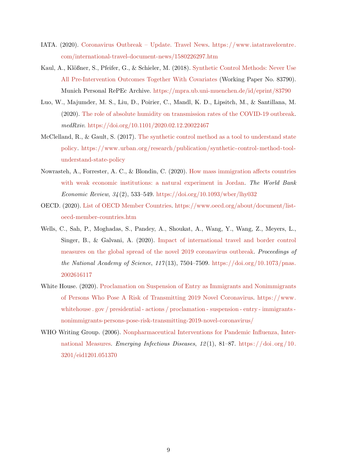- <span id="page-10-7"></span>IATA. (2020). [Coronavirus Outbreak – Update. Travel News.](https://www.iatatravelcentre.com/international-travel-document-news/1580226297.htm) [https://www.iatatravelcentre.](https://www.iatatravelcentre.com/international-travel-document-news/1580226297.htm) [com/international-travel-document-news/1580226297.htm](https://www.iatatravelcentre.com/international-travel-document-news/1580226297.htm)
- <span id="page-10-8"></span>Kaul, A., Klößner, S., Pfeifer, G., & Schieler, M. (2018). [Synthetic Control Methods: Never Use](https://mpra.ub.uni-muenchen.de/id/eprint/83790) [All Pre-Intervention Outcomes Together With Covariates](https://mpra.ub.uni-muenchen.de/id/eprint/83790) (Working Paper No. 83790). Munich Personal RePEc Archive. <https://mpra.ub.uni-muenchen.de/id/eprint/83790>
- <span id="page-10-6"></span>Luo, W., Majumder, M. S., Liu, D., Poirier, C., Mandl, K. D., Lipsitch, M., & Santillana, M. (2020). [The role of absolute humidity on transmission rates of the COVID-19 outbreak.](http://dx.doi.org/10.1101/2020.02.12.20022467) medRxiv. <https://doi.org/10.1101/2020.02.12.20022467>
- <span id="page-10-3"></span>McClelland, R., & Gault, S. (2017). [The synthetic control method as a tool to understand state](https://www.urban.org/research/publication/synthetic-control-method-tool-understand-state-policy) [policy.](https://www.urban.org/research/publication/synthetic-control-method-tool-understand-state-policy) [https://www.urban.org/research/publication/synthetic-control-method- tool](https://www.urban.org/research/publication/synthetic-control-method-tool-understand-state-policy)[understand-state-policy](https://www.urban.org/research/publication/synthetic-control-method-tool-understand-state-policy)
- <span id="page-10-4"></span>Nowrasteh, A., Forrester, A. C., & Blondin, C. (2020). [How mass immigration affects countries](http://dx.doi.org/10.1093/wber/lhy032) [with weak economic institutions: a natural experiment in Jordan.](http://dx.doi.org/10.1093/wber/lhy032) The World Bank Economic Review,  $34(2)$ , 533-549. <https://doi.org/10.1093/wber/lhy032>
- <span id="page-10-5"></span>OECD. (2020). [List of OECD Member Countries.](https://www.oecd.org/about/document/list-oecd-member-countries.htm) [https://www.oecd.org/about/document/list](https://www.oecd.org/about/document/list-oecd-member-countries.htm)[oecd-member-countries.htm](https://www.oecd.org/about/document/list-oecd-member-countries.htm)
- <span id="page-10-1"></span>Wells, C., Sah, P., Moghadas, S., Pandey, A., Shoukat, A., Wang, Y., Wang, Z., Meyers, L., Singer, B., & Galvani, A. (2020). [Impact of international travel and border control](http://dx.doi.org/10.1073/pnas.2002616117) [measures on the global spread of the novel 2019 coronavirus outbreak.](http://dx.doi.org/10.1073/pnas.2002616117) Proceedings of the National Academy of Science,  $117(13)$ , 7504–7509. [https://doi.org/10.1073/pnas.](https://doi.org/10.1073/pnas.2002616117) [2002616117](https://doi.org/10.1073/pnas.2002616117)
- <span id="page-10-0"></span>White House. (2020). [Proclamation on Suspension of Entry as Immigrants and Nonimmigrants](https://www.whitehouse.gov/presidential-actions/proclamation-suspension-entry-immigrants-nonimmigrants-persons-pose-risk-transmitting-2019-novel-coronavirus/) [of Persons Who Pose A Risk of Transmitting 2019 Novel Coronavirus.](https://www.whitehouse.gov/presidential-actions/proclamation-suspension-entry-immigrants-nonimmigrants-persons-pose-risk-transmitting-2019-novel-coronavirus/) [https://www.](https://www.whitehouse.gov/presidential-actions/proclamation-suspension-entry-immigrants-nonimmigrants-persons-pose-risk-transmitting-2019-novel-coronavirus/) [whitehouse . gov / presidential - actions / proclamation - suspension - entry - immigrants](https://www.whitehouse.gov/presidential-actions/proclamation-suspension-entry-immigrants-nonimmigrants-persons-pose-risk-transmitting-2019-novel-coronavirus/)  [nonimmigrants-persons-pose-risk-transmitting-2019-novel-coronavirus/](https://www.whitehouse.gov/presidential-actions/proclamation-suspension-entry-immigrants-nonimmigrants-persons-pose-risk-transmitting-2019-novel-coronavirus/)
- <span id="page-10-2"></span>WHO Writing Group. (2006). [Nonpharmaceutical Interventions for Pandemic Influenza, Inter](http://dx.doi.org/10.3201/eid1201.051370)[national Measures.](http://dx.doi.org/10.3201/eid1201.051370) Emerging Infectious Diseases,  $12(1)$ ,  $81-87$ . https://doi.org/10. [3201/eid1201.051370](https://doi.org/10.3201/eid1201.051370)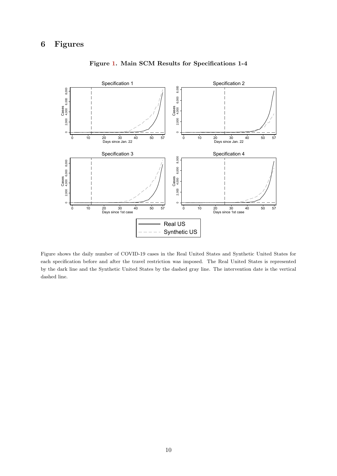<span id="page-11-0"></span>

Figure [1.](#page-11-0) Main SCM Results for Specifications 1-4

Figure shows the daily number of COVID-19 cases in the Real United States and Synthetic United States for each specification before and after the travel restriction was imposed. The Real United States is represented by the dark line and the Synthetic United States by the dashed gray line. The intervention date is the vertical dashed line.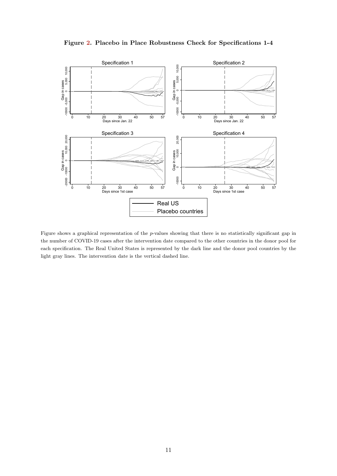<span id="page-12-0"></span>



Figure shows a graphical representation of the  $p$ -values showing that there is no statistically significant gap in the number of COVID-19 cases after the intervention date compared to the other countries in the donor pool for each specification. The Real United States is represented by the dark line and the donor pool countries by the light gray lines. The intervention date is the vertical dashed line.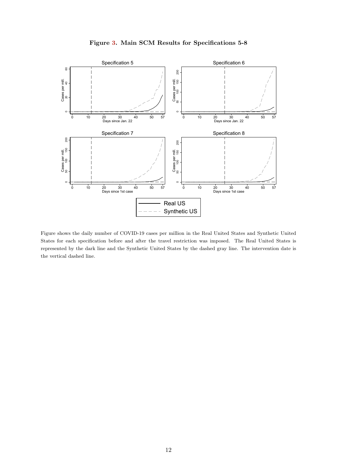

<span id="page-13-0"></span>

Figure shows the daily number of COVID-19 cases per million in the Real United States and Synthetic United States for each specification before and after the travel restriction was imposed. The Real United States is represented by the dark line and the Synthetic United States by the dashed gray line. The intervention date is the vertical dashed line.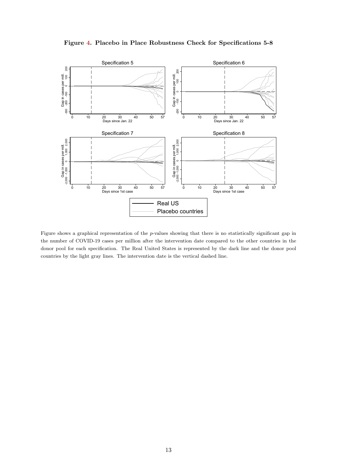<span id="page-14-0"></span>



Figure shows a graphical representation of the p-values showing that there is no statistically significant gap in the number of COVID-19 cases per million after the intervention date compared to the other countries in the donor pool for each specification. The Real United States is represented by the dark line and the donor pool countries by the light gray lines. The intervention date is the vertical dashed line.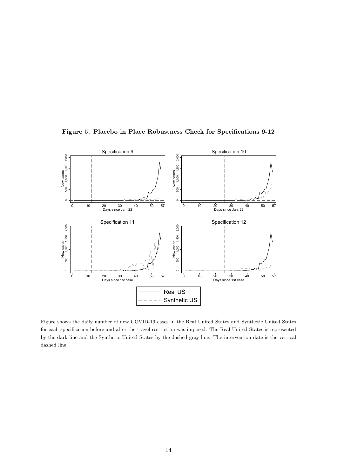<span id="page-15-0"></span>



Figure shows the daily number of new COVID-19 cases in the Real United States and Synthetic United States for each specification before and after the travel restriction was imposed. The Real United States is represented by the dark line and the Synthetic United States by the dashed gray line. The intervention date is the vertical dashed line.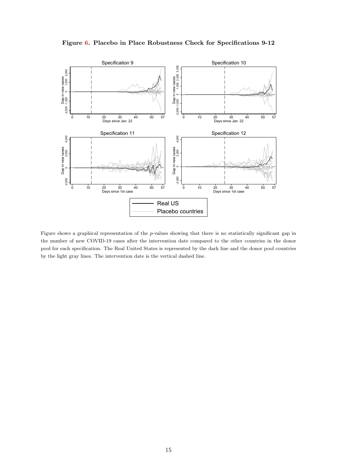<span id="page-16-0"></span>



Figure shows a graphical representation of the  $p$ -values showing that there is no statistically significant gap in the number of new COVID-19 cases after the intervention date compared to the other countries in the donor pool for each specification. The Real United States is represented by the dark line and the donor pool countries by the light gray lines. The intervention date is the vertical dashed line.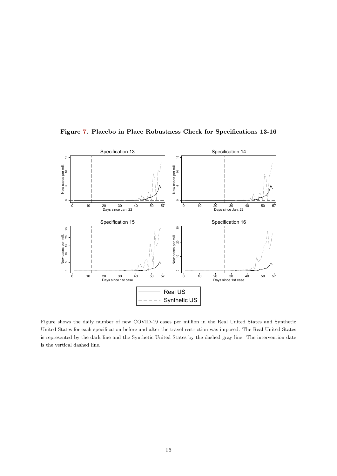Figure [7.](#page-17-0) Placebo in Place Robustness Check for Specifications 13-16

<span id="page-17-0"></span>

Figure shows the daily number of new COVID-19 cases per million in the Real United States and Synthetic United States for each specification before and after the travel restriction was imposed. The Real United States is represented by the dark line and the Synthetic United States by the dashed gray line. The intervention date is the vertical dashed line.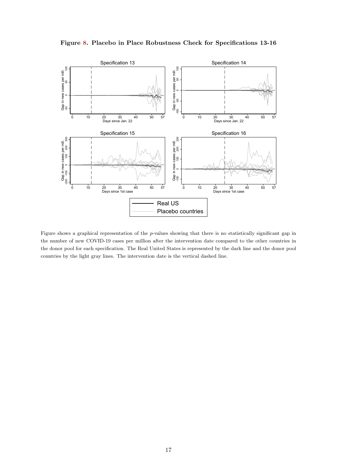<span id="page-18-0"></span>



Figure shows a graphical representation of the p-values showing that there is no statistically significant gap in the number of new COVID-19 cases per million after the intervention date compared to the other countries in the donor pool for each specification. The Real United States is represented by the dark line and the donor pool countries by the light gray lines. The intervention date is the vertical dashed line.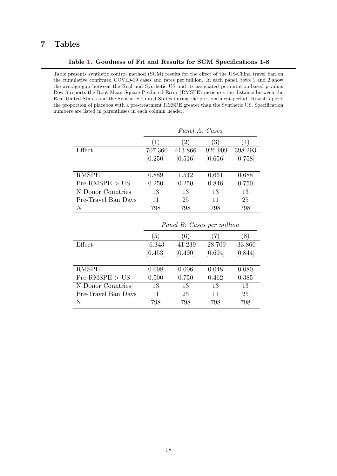## 7 Tables

#### Table [1.](#page-19-0) Goodness of Fit and Results for SCM Specifications 1-8

<span id="page-19-0"></span>Table presents synthetic control method (SCM) results for the effect of the US-China travel ban on the cumulative confirmed COVID-19 cases and rates per million. In each panel, rows 1 and 2 show the average gap between the Real and Synthetic US and its associated permutation-based p-value. Row 3 reports the Root Mean Square Predicted Error (RMSPE) measures the distance between the Real United States and the Synthetic United States during the pre-treatment period. Row 4 reports the proportion of placebos with a pre-treatment RMSPE greater than the Synthetic US. Specification numbers are listed in parentheses in each column header.

|                     | Panel A: Cases |         |                  |         |  |  |  |
|---------------------|----------------|---------|------------------|---------|--|--|--|
|                     | (1)            | (2)     | $\left(3\right)$ | 4)      |  |  |  |
| Effect              | $-707.360$     | 413.866 | $-926.909$       | 398.293 |  |  |  |
|                     | [0.250]        | [0.516] | [0.656]          | [0.758] |  |  |  |
|                     |                |         |                  |         |  |  |  |
| <b>RMSPE</b>        | 0.889          | 1.542   | 0.661            | 0.688   |  |  |  |
| $Pre-RMSPE > US$    | 0.250          | 0.250   | 0.846            | 0.750   |  |  |  |
| N Donor Countries   | 13             | 13      | 13               | 13      |  |  |  |
| Pre-Travel Ban Days | 11             | 25      | 11               | 25      |  |  |  |
| N                   | 798            | 798     | 798              | 798     |  |  |  |

|                     | <i>Fanel D. Cases per munion</i> |           |           |           |  |  |  |  |
|---------------------|----------------------------------|-----------|-----------|-----------|--|--|--|--|
|                     | (5)                              | (6)       | (7)       | (8)       |  |  |  |  |
| Effect              | $-6.343$                         | $-41.239$ | $-28.709$ | $-33.860$ |  |  |  |  |
|                     | [0.453]                          | [0.490]   | [0.694]   | [0.844]   |  |  |  |  |
|                     |                                  |           |           |           |  |  |  |  |
| <b>RMSPE</b>        | 0.008                            | 0.006     | 0.048     | 0.080     |  |  |  |  |
| $Pre-RMSPE > US$    | 0.500                            | 0.750     | 0.462     | 0.385     |  |  |  |  |
| N Donor Countries   | 13                               | 13        | 13        | 13        |  |  |  |  |
| Pre-Travel Ban Days | 11                               | 25        | 11        | 25        |  |  |  |  |
| N                   | 798                              | 798       | 798       | 798       |  |  |  |  |

#### Panel B: Cases per million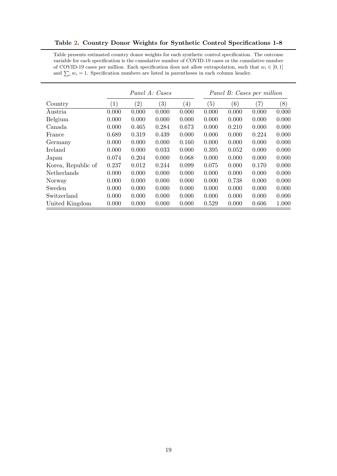<span id="page-20-0"></span>Table [2.](#page-20-0) Country Donor Weights for Synthetic Control Specifications 1-8

Table presents estimated country donor weights for each synthetic control specification. The outcome variable for each specification is the cumulative number of COVID-19 cases or the cumulative number of COVID-19 cases per million. Each specification does not allow extrapolation, such that  $w_i \in [0, 1]$ and  $\sum_i w_i = 1$ . Specification numbers are listed in parentheses in each column header.

|                    | Panel A: Cases   |                   |                  |                  | Panel B: Cases per million |       |               |       |
|--------------------|------------------|-------------------|------------------|------------------|----------------------------|-------|---------------|-------|
| Country            | $\left(1\right)$ | $\left( 2\right)$ | $\left(3\right)$ | $\left(4\right)$ | (5)                        | (6)   | $^{\prime}7)$ | (8)   |
| Austria            | 0.000            | 0.000             | 0.000            | 0.000            | 0.000                      | 0.000 | 0.000         | 0.000 |
| Belgium            | 0.000            | 0.000             | 0.000            | 0.000            | 0.000                      | 0.000 | 0.000         | 0.000 |
| Canada             | 0.000            | 0.465             | 0.284            | 0.673            | 0.000                      | 0.210 | 0.000         | 0.000 |
| France             | 0.689            | 0.319             | 0.439            | 0.000            | 0.000                      | 0.000 | 0.224         | 0.000 |
| Germany            | 0.000            | 0.000             | 0.000            | 0.160            | 0.000                      | 0.000 | 0.000         | 0.000 |
| Ireland            | 0.000            | 0.000             | 0.033            | 0.000            | 0.395                      | 0.052 | 0.000         | 0.000 |
| Japan              | 0.074            | 0.204             | 0.000            | 0.068            | 0.000                      | 0.000 | 0.000         | 0.000 |
| Korea, Republic of | 0.237            | 0.012             | 0.244            | 0.099            | 0.075                      | 0.000 | 0.170         | 0.000 |
| Netherlands        | 0.000            | 0.000             | 0.000            | 0.000            | 0.000                      | 0.000 | 0.000         | 0.000 |
| Norway             | 0.000            | 0.000             | 0.000            | 0.000            | 0.000                      | 0.738 | 0.000         | 0.000 |
| Sweden             | 0.000            | 0.000             | 0.000            | 0.000            | 0.000                      | 0.000 | 0.000         | 0.000 |
| Switzerland        | 0.000            | 0.000             | 0.000            | 0.000            | 0.000                      | 0.000 | 0.000         | 0.000 |
| United Kingdom     | 0.000            | 0.000             | 0.000            | 0.000            | 0.529                      | 0.000 | 0.606         | 1.000 |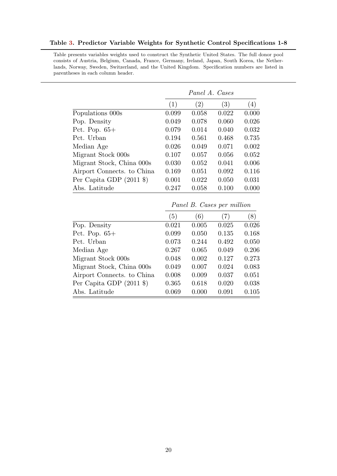#### <span id="page-21-0"></span>Table [3.](#page-21-0) Predictor Variable Weights for Synthetic Control Specifications 1-8

Table presents variables weights used to construct the Synthetic United States. The full donor pool consists of Austria, Belgium, Canada, France, Germany, Ireland, Japan, South Korea, the Netherlands, Norway, Sweden, Switzerland, and the United Kingdom. Specification numbers are listed in parentheses in each column header.

|                                                 | Panel A. Cases |       |       |       |  |  |
|-------------------------------------------------|----------------|-------|-------|-------|--|--|
|                                                 | (1)            | (2)   | (3)   | (4)   |  |  |
| Populations 000s                                | 0.099          | 0.058 | 0.022 | 0.000 |  |  |
| Pop. Density                                    | 0.049          | 0.078 | 0.060 | 0.026 |  |  |
| Pct. Pop. $65+$                                 | 0.079          | 0.014 | 0.040 | 0.032 |  |  |
| Pct. Urban                                      | 0.194          | 0.561 | 0.468 | 0.735 |  |  |
| Median Age                                      | 0.026          | 0.049 | 0.071 | 0.002 |  |  |
| Migrant Stock 000s                              | 0.107          | 0.057 | 0.056 | 0.052 |  |  |
| Migrant Stock, China 000s                       | 0.030          | 0.052 | 0.041 | 0.006 |  |  |
| Airport Connects. to China                      | 0.169          | 0.051 | 0.092 | 0.116 |  |  |
| Per Capita GDP $(2011 \text{$ } <sup>\$</sup> ) | 0.001          | 0.022 | 0.050 | 0.031 |  |  |
| Abs. Latitude                                   | 0.247          | 0.058 | 0.100 | 0.000 |  |  |

|                                  | (5)   | (6)   | $\left( 7\right)$ | (8)   |
|----------------------------------|-------|-------|-------------------|-------|
| Pop. Density                     | 0.021 | 0.005 | 0.025             | 0.026 |
| Pct. Pop. $65+$                  | 0.099 | 0.050 | 0.135             | 0.168 |
| Pct. Urban                       | 0.073 | 0.244 | 0.492             | 0.050 |
| Median Age                       | 0.267 | 0.065 | 0.049             | 0.206 |
| Migrant Stock 000s               | 0.048 | 0.002 | 0.127             | 0.273 |
| Migrant Stock, China 000s        | 0.049 | 0.007 | 0.024             | 0.083 |
| Airport Connects. to China       | 0.008 | 0.009 | 0.037             | 0.051 |
| Per Capita GDP $(2011 \text{$ }) | 0.365 | 0.618 | 0.020             | 0.038 |
| Abs. Latitude                    | 0.069 | 0.000 | 0.091             | 0.105 |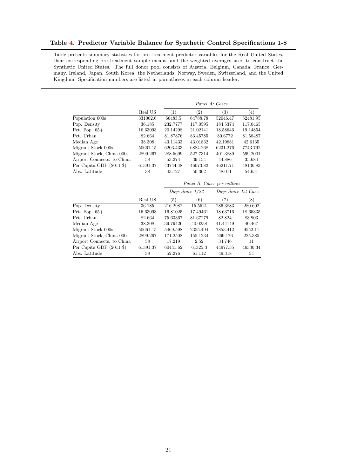#### <span id="page-22-0"></span>Table [4.](#page-22-0) Predictor Variable Balance for Synthetic Control Specifications 1-8

Table presents summary statistics for pre-treatment predictor variables for the Real United States, their corresponding pre-treatment sample means, and the weighted averages used to construct the Synthetic United States. The full donor pool consists of Austria, Belgium, Canada, France, Germany, Ireland, Japan, South Korea, the Netherlands, Norway, Sweden, Switzerland, and the United Kingdom. Specification numbers are listed in parentheses in each column header.

|                                  |          |                                        | Panel A: Cases    |          |          |  |
|----------------------------------|----------|----------------------------------------|-------------------|----------|----------|--|
|                                  | Real US  | (1)                                    | $\left( 2\right)$ | (3)      | (4)      |  |
| Population 000s                  | 331002.6 | 66483.5                                | 64788.78          | 52046.47 | 52481.95 |  |
| Pop. Density                     | 36.185   | 232.7777                               | 117.0595          | 184.5374 | 117.0465 |  |
| Pct. Pop. $65+$                  | 16.63093 | 20.14298                               | 21.02141          | 18.58646 | 19.14854 |  |
| Pct. Urban                       | 82.664   | 81.87876                               | 83.45785          | 80.6772  | 81.58487 |  |
| Median Age                       | 38.308   | 43.11433                               | 43.01832          | 42.19881 | 42.6135  |  |
| Migrant Stock 000s               | 50661.15 | 6203.433                               | 6884.268          | 6231.276 | 7743.792 |  |
| Migrant Stock, China 000s        | 2899.267 | 288.5699                               | 527.7314          | 401.3889 | 599.2001 |  |
| Airport Connects, to China       | 58       | 53.274                                 | 39.154            | 44.886   | 35.684   |  |
| Per Capita GDP $(2011 \text{$ }) | 61391.37 | 43744.48                               | 46073.82          | 46211.71 | 48130.83 |  |
| Abs. Latitude                    | 38       | 43.127                                 | 50.362            | 48.011   | 54.651   |  |
|                                  |          | Panel B. Cases per million             |                   |          |          |  |
|                                  |          | Days Since 1/22<br>Days Since 1st Case |                   |          |          |  |

|          |          |          | Dwys Dikto 130 Ousc            |          |
|----------|----------|----------|--------------------------------|----------|
| Real US  | (5)      | (6)      | (7)                            | (8)      |
| 36.185   | 216.2982 | 15.5521  | 286.3883                       | 280.602  |
| 16.63093 | 16.81025 | 17.49461 | 18.63716                       | 18.65335 |
| 82.664   | 75.63367 | 81.67279 | 82.824                         | 83.903   |
| 38.308   | 39.79426 | 40.0238  | 41.44149                       | 40.467   |
| 50661.15 | 5469.598 | 2355.494 | 7853.412                       | 9552.11  |
| 2899.267 | 171.2508 | 155.1234 | 269.176                        | 225.385  |
| 58       | 17.219   | 2.52     | 34.746                         | 11       |
| 61391.37 | 60441.62 | 61325.3  | 44977.35                       | 46330.34 |
| 38       | 52.276   | 61.112   | 49.318                         | 54       |
|          |          |          | $Dugo$ Direct $1/\omega\omega$ |          |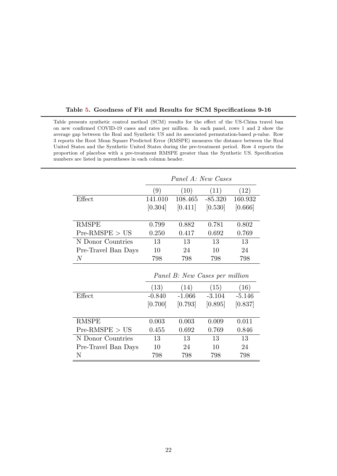|                     | Panel A: New Cases             |          |           |          |  |  |  |  |
|---------------------|--------------------------------|----------|-----------|----------|--|--|--|--|
|                     | $\left(9\right)$               | (10)     | (11)      | (12)     |  |  |  |  |
| Effect              | 141.010                        | 108.465  | $-85.320$ | 160.932  |  |  |  |  |
|                     | [0.304]                        | [0.411]  | [0.530]   | [0.666]  |  |  |  |  |
|                     |                                |          |           |          |  |  |  |  |
| <b>RMSPE</b>        | 0.799                          | 0.882    | 0.781     | 0.802    |  |  |  |  |
| $Pre-RMSPE > US$    | 0.250                          | 0.417    | 0.692     | 0.769    |  |  |  |  |
| N Donor Countries   | 13                             | 13       | 13        | 13       |  |  |  |  |
| Pre-Travel Ban Days | 10                             | 24       | 10        | 24       |  |  |  |  |
| $\,N$               | 798                            | 798      | 798       | 798      |  |  |  |  |
|                     | Panel B: New Cases per million |          |           |          |  |  |  |  |
|                     | (13)                           | (14)     | (15)      | (16)     |  |  |  |  |
| Effect              | $-0.840$                       | $-1.066$ | $-3.104$  | $-5.146$ |  |  |  |  |
|                     | [0.700]                        | [0.793]  | [0.895]   | [0.837]  |  |  |  |  |
|                     |                                |          |           |          |  |  |  |  |
| <b>RMSPE</b>        | 0.003                          | 0.003    | 0.009     | 0.011    |  |  |  |  |
| $Pre-RMSPE > US$    | 0.455                          | 0.692    | 0.769     | 0.846    |  |  |  |  |
| N Donor Countries   | 13                             | 13       | 13        | 13       |  |  |  |  |
| Pre-Travel Ban Days | 10                             | 24       | 10        | 24       |  |  |  |  |

N 798 798 798 798

<span id="page-23-0"></span>Table presents synthetic control method (SCM) results for the effect of the US-China travel ban on new confirmed COVID-19 cases and rates per million. In each panel, rows 1 and 2 show the average gap between the Real and Synthetic US and its associated permutation-based p-value. Row 3 reports the Root Mean Square Predicted Error (RMSPE) measures the distance between the Real United States and the Synthetic United States during the pre-treatment period. Row 4 reports the proportion of placebos with a pre-treatment RMSPE greater than the Synthetic US. Specification

numbers are listed in parentheses in each column header.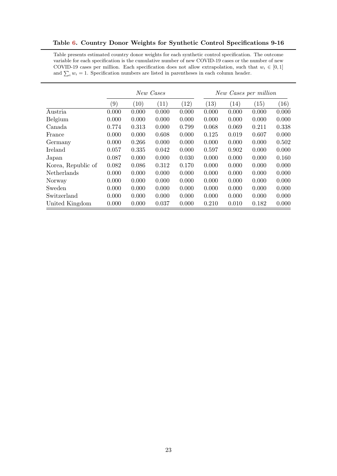<span id="page-24-0"></span>Table [6.](#page-24-0) Country Donor Weights for Synthetic Control Specifications 9-16

Table presents estimated country donor weights for each synthetic control specification. The outcome variable for each specification is the cumulative number of new COVID-19 cases or the number of new COVID-19 cases per million. Each specification does not allow extrapolation, such that  $w_i \in [0,1]$ and  $\sum_i w_i = 1$ . Specification numbers are listed in parentheses in each column header.

|                    | New Cases |       |       |                    |                    | New Cases per million |       |       |
|--------------------|-----------|-------|-------|--------------------|--------------------|-----------------------|-------|-------|
|                    | (9)       | (10)  | (11)  | $\left( 12\right)$ | $\left( 13\right)$ | (14)                  | (15)  | (16)  |
| Austria            | 0.000     | 0.000 | 0.000 | 0.000              | 0.000              | 0.000                 | 0.000 | 0.000 |
| Belgium            | 0.000     | 0.000 | 0.000 | 0.000              | 0.000              | 0.000                 | 0.000 | 0.000 |
| Canada             | 0.774     | 0.313 | 0.000 | 0.799              | 0.068              | 0.069                 | 0.211 | 0.338 |
| France             | 0.000     | 0.000 | 0.608 | 0.000              | 0.125              | 0.019                 | 0.607 | 0.000 |
| Germany            | 0.000     | 0.266 | 0.000 | 0.000              | 0.000              | 0.000                 | 0.000 | 0.502 |
| Ireland            | 0.057     | 0.335 | 0.042 | 0.000              | 0.597              | 0.902                 | 0.000 | 0.000 |
| Japan              | 0.087     | 0.000 | 0.000 | 0.030              | 0.000              | 0.000                 | 0.000 | 0.160 |
| Korea, Republic of | 0.082     | 0.086 | 0.312 | 0.170              | 0.000              | 0.000                 | 0.000 | 0.000 |
| Netherlands        | 0.000     | 0.000 | 0.000 | 0.000              | 0.000              | 0.000                 | 0.000 | 0.000 |
| Norway             | 0.000     | 0.000 | 0.000 | 0.000              | 0.000              | 0.000                 | 0.000 | 0.000 |
| Sweden             | 0.000     | 0.000 | 0.000 | 0.000              | 0.000              | 0.000                 | 0.000 | 0.000 |
| Switzerland        | 0.000     | 0.000 | 0.000 | 0.000              | 0.000              | 0.000                 | 0.000 | 0.000 |
| United Kingdom     | 0.000     | 0.000 | 0.037 | 0.000              | 0.210              | 0.010                 | 0.182 | 0.000 |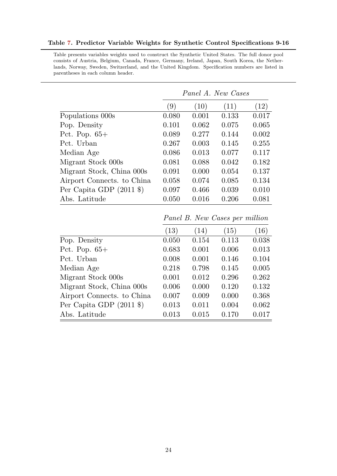|                                  | Panel A. New Cases |       |       |       |  |  |
|----------------------------------|--------------------|-------|-------|-------|--|--|
|                                  | (9)                | (10)  | (11)  | (12)  |  |  |
| Populations 000s                 | 0.080              | 0.001 | 0.133 | 0.017 |  |  |
| Pop. Density                     | 0.101              | 0.062 | 0.075 | 0.065 |  |  |
| Pct. Pop. $65+$                  | 0.089              | 0.277 | 0.144 | 0.002 |  |  |
| Pct. Urban                       | 0.267              | 0.003 | 0.145 | 0.255 |  |  |
| Median Age                       | 0.086              | 0.013 | 0.077 | 0.117 |  |  |
| Migrant Stock 000s               | 0.081              | 0.088 | 0.042 | 0.182 |  |  |
| Migrant Stock, China 000s        | 0.091              | 0.000 | 0.054 | 0.137 |  |  |
| Airport Connects. to China       | 0.058              | 0.074 | 0.085 | 0.134 |  |  |
| Per Capita GDP $(2011 \text{$ }) | 0.097              | 0.466 | 0.039 | 0.010 |  |  |
| Abs. Latitude                    | 0.050              | 0.016 | 0.206 | 0.081 |  |  |

#### <span id="page-25-0"></span>Table [7.](#page-25-0) Predictor Variable Weights for Synthetic Control Specifications 9-16

Table presents variables weights used to construct the Synthetic United States. The full donor pool consists of Austria, Belgium, Canada, France, Germany, Ireland, Japan, South Korea, the Netherlands, Norway, Sweden, Switzerland, and the United Kingdom. Specification numbers are listed in parentheses in each column header.

Panel B. New Cases per million

|                                  | (13)  | (14)  | (15)  | (16)  |
|----------------------------------|-------|-------|-------|-------|
| Pop. Density                     | 0.050 | 0.154 | 0.113 | 0.038 |
| Pct. Pop. $65+$                  | 0.683 | 0.001 | 0.006 | 0.013 |
| Pct. Urban                       | 0.008 | 0.001 | 0.146 | 0.104 |
| Median Age                       | 0.218 | 0.798 | 0.145 | 0.005 |
| Migrant Stock 000s               | 0.001 | 0.012 | 0.296 | 0.262 |
| Migrant Stock, China 000s        | 0.006 | 0.000 | 0.120 | 0.132 |
| Airport Connects. to China       | 0.007 | 0.009 | 0.000 | 0.368 |
| Per Capita GDP $(2011 \text{$ }) | 0.013 | 0.011 | 0.004 | 0.062 |
| Abs. Latitude                    | 0.013 | 0.015 | 0.170 | 0.017 |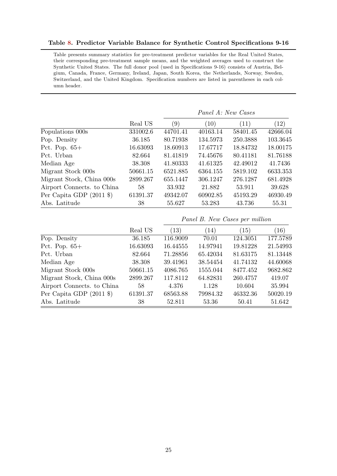#### <span id="page-26-0"></span>Table [8.](#page-26-0) Predictor Variable Balance for Synthetic Control Specifications 9-16

Table presents summary statistics for pre-treatment predictor variables for the Real United States, their corresponding pre-treatment sample means, and the weighted averages used to construct the Synthetic United States. The full donor pool (used in Specifications 9-16) consists of Austria, Belgium, Canada, France, Germany, Ireland, Japan, South Korea, the Netherlands, Norway, Sweden, Switzerland, and the United Kingdom. Specification numbers are listed in parentheses in each column header.

|                                  |          | Panel A: New Cases |          |          |           |
|----------------------------------|----------|--------------------|----------|----------|-----------|
|                                  | Real US  | (9)                | (10)     | (11)     | $^{'}12)$ |
| Populations 000s                 | 331002.6 | 44701.41           | 40163.14 | 58401.45 | 42666.04  |
| Pop. Density                     | 36.185   | 80.71938           | 134.5973 | 250.3888 | 103.3645  |
| Pct. Pop. $65+$                  | 16.63093 | 18.60913           | 17.67717 | 18.84732 | 18.00175  |
| Pct. Urban                       | 82.664   | 81.41819           | 74.45676 | 80.41181 | 81.76188  |
| Median Age                       | 38.308   | 41.80333           | 41.61325 | 42.49012 | 41.7436   |
| Migrant Stock 000s               | 50661.15 | 6521.885           | 6364.155 | 5819.102 | 6633.353  |
| Migrant Stock, China 000s        | 2899.267 | 655.1447           | 306.1247 | 276.1287 | 681.4928  |
| Airport Connects. to China       | 58       | 33.932             | 21.882   | 53.911   | 39.628    |
| Per Capita GDP $(2011 \text{$ }) | 61391.37 | 49342.07           | 60902.85 | 45193.29 | 46930.49  |
| Abs. Latitude                    | 38       | 55.627             | 53.283   | 43.736   | 55.31     |

|                                                 | Panel B. New Cases per million |                    |          |          |          |
|-------------------------------------------------|--------------------------------|--------------------|----------|----------|----------|
|                                                 | Real US                        | $\left( 13\right)$ | (14)     | (15)     | (16)     |
| Pop. Density                                    | 36.185                         | 116.9009           | 70.01    | 124.3051 | 177.5789 |
| Pct. Pop. $65+$                                 | 16.63093                       | 16.44555           | 14.97941 | 19.81228 | 21.54993 |
| Pct. Urban                                      | 82.664                         | 71.28856           | 65.42034 | 81.63175 | 81.13448 |
| Median Age                                      | 38.308                         | 39.41961           | 38.54454 | 41.74132 | 44.60068 |
| Migrant Stock 000s                              | 50661.15                       | 4086.765           | 1555.044 | 8477.452 | 9682.862 |
| Migrant Stock, China 000s                       | 2899.267                       | 117.8112           | 64.82831 | 260.4757 | 419.07   |
| Airport Connects. to China                      | 58                             | 4.376              | 1.128    | 10.604   | 35.994   |
| Per Capita GDP $(2011 \text{$ } <sup>\$</sup> ) | 61391.37                       | 68563.88           | 79984.32 | 46332.36 | 50020.19 |
| Abs. Latitude                                   | 38                             | 52.811             | 53.36    | 50.41    | 51.642   |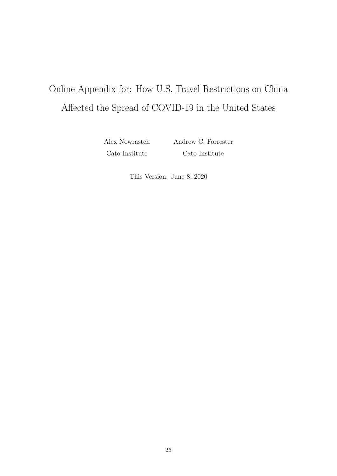## Online Appendix for: How U.S. Travel Restrictions on China Affected the Spread of COVID-19 in the United States

Alex Nowrasteh Cato Institute

Andrew C. Forrester Cato Institute

This Version: June 8, 2020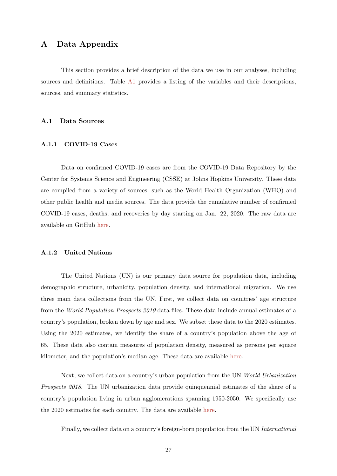### A Data Appendix

This section provides a brief description of the data we use in our analyses, including sources and definitions. Table [A1](#page-19-0) provides a listing of the variables and their descriptions, sources, and summary statistics.

#### A.1 Data Sources

#### A.1.1 COVID-19 Cases

Data on confirmed COVID-19 cases are from the COVID-19 Data Repository by the Center for Systems Science and Engineering (CSSE) at Johns Hopkins University. These data are compiled from a variety of sources, such as the World Health Organization (WHO) and other public health and media sources. The data provide the cumulative number of confirmed COVID-19 cases, deaths, and recoveries by day starting on Jan. 22, 2020. The raw data are available on GitHub [here.](https://github.com/CSSEGISandData/COVID-19)

#### A.1.2 United Nations

The United Nations (UN) is our primary data source for population data, including demographic structure, urbanicity, population density, and international migration. We use three main data collections from the UN. First, we collect data on countries' age structure from the World Population Prospects 2019 data files. These data include annual estimates of a country's population, broken down by age and sex. We subset these data to the 2020 estimates. Using the 2020 estimates, we identify the share of a country's population above the age of 65. These data also contain measures of population density, measured as persons per square kilometer, and the population's median age. These data are available [here.](https://population.un.org/wpp/Download/Standard/Population/)

Next, we collect data on a country's urban population from the UN World Urbanization Prospects 2018. The UN urbanization data provide quinquennial estimates of the share of a country's population living in urban agglomerations spanning 1950-2050. We specifically use the 2020 estimates for each country. The data are available [here.](https://population.un.org/wup/)

Finally, we collect data on a country's foreign-born population from the UN International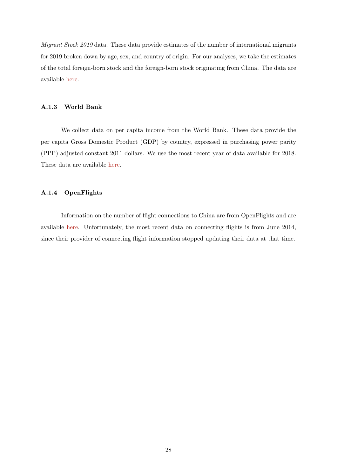Migrant Stock 2019 data. These data provide estimates of the number of international migrants for 2019 broken down by age, sex, and country of origin. For our analyses, we take the estimates of the total foreign-born stock and the foreign-born stock originating from China. The data are available [here.](https://www.un.org/en/development/desa/population/migration/data/estimates2/estimates19.asp)

#### A.1.3 World Bank

We collect data on per capita income from the World Bank. These data provide the per capita Gross Domestic Product (GDP) by country, expressed in purchasing power parity (PPP) adjusted constant 2011 dollars. We use the most recent year of data available for 2018. These data are available [here.](https://data.worldbank.org/indicator/NY.GDP.PCAP.PP.KD)

#### A.1.4 OpenFlights

Information on the number of flight connections to China are from OpenFlights and are available [here.](https://openflights.org/data.html) Unfortunately, the most recent data on connecting flights is from June 2014, since their provider of connecting flight information stopped updating their data at that time.